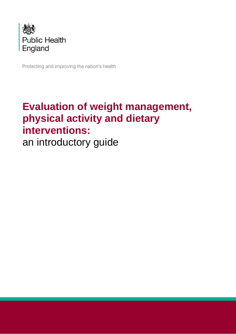

Protecting and improving the nation's health

# **Evaluation of weight management, physical activity and dietary interventions:** an introductory guide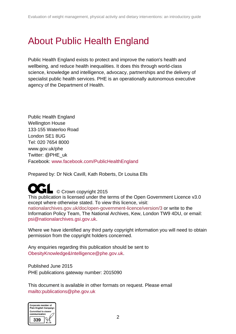# <span id="page-1-0"></span>About Public Health England

Public Health England exists to protect and improve the nation's health and wellbeing, and reduce health inequalities. It does this through world-class science, knowledge and intelligence, advocacy, partnerships and the delivery of specialist public health services. PHE is an operationally autonomous executive agency of the Department of Health.

Public Health England Wellington House 133-155 Waterloo Road London SE1 8UG Tel: 020 7654 8000 [www.gov.uk/phe](http://www.gov.uk/phe) Twitter: [@PHE\\_uk](https://twitter.com/PHE_uk) Facebook: [www.facebook.com/PublicHealthEngland](http://www.facebook.com/PublicHealthEngland)

Prepared by: Dr Nick Cavill, Kath Roberts, Dr Louisa Ells

■ © Crown copyright 2015 This publication is licensed under the terms of the Open Government Licence v3.0 except where otherwise stated. To view this licence, visit: nationalarchives.gov.uk/doc/open-government-licence/version/3 or write to the Information Policy Team, The National Archives, Kew, London TW9 4DU, or email: [psi@nationalarchives.gsi.gov.uk.](mailto:psi@nationalarchives.gsi.gov.uk)

Where we have identified any third party copyright information you will need to obtain permission from the copyright holders concerned.

Any enquiries regarding this publication should be sent to [ObesityKnowledge&Intelligence@phe.gov.uk.](mailto:ObesityKnowledge%26Intelligence@phe.gov.uk)

Published June 2015 PHE publications gateway number: 2015090

This document is available in other formats on request. Please email <mailto:publications@phe.gov.uk>

| Corporate member of<br><b>Plain English Campaign</b> |
|------------------------------------------------------|
| <b>Committed to clearer</b><br>communication         |
|                                                      |
|                                                      |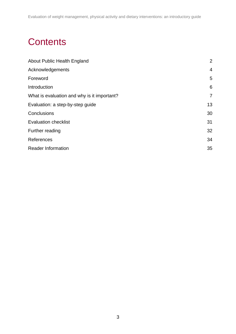# **Contents**

| $\overline{4}$ |
|----------------|
| 5              |
| 6              |
| $\overline{7}$ |
| 13             |
| 30             |
| 31             |
| 32             |
| 34             |
| 35             |
|                |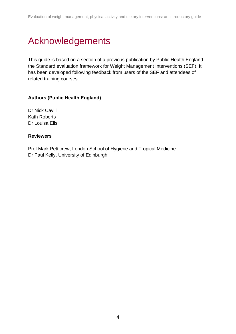# <span id="page-3-0"></span>Acknowledgements

This guide is based on a section of a previous publication by Public Health England – the Standard evaluation framework for Weight Management Interventions (SEF). It has been developed following feedback from users of the SEF and attendees of related training courses.

#### **Authors (Public Health England)**

Dr Nick Cavill Kath Roberts Dr Louisa Ells

#### **Reviewers**

Prof Mark Petticrew, London School of Hygiene and Tropical Medicine Dr Paul Kelly, University of Edinburgh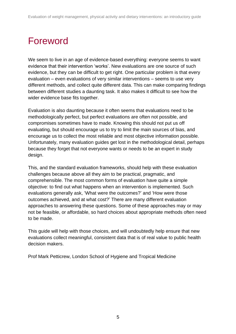# <span id="page-4-0"></span>Foreword

We seem to live in an age of evidence-based everything: everyone seems to want evidence that their intervention 'works'. New evaluations are one source of such evidence, but they can be difficult to get right. One particular problem is that every evaluation – even evaluations of very similar interventions – seems to use very different methods, and collect quite different data. This can make comparing findings between different studies a daunting task. It also makes it difficult to see how the wider evidence base fits together.

Evaluation is also daunting because it often seems that evaluations need to be methodologically perfect, but perfect evaluations are often not possible, and compromises sometimes have to made. Knowing this should not put us off evaluating, but should encourage us to try to limit the main sources of bias, and encourage us to collect the most reliable and most objective information possible. Unfortunately, many evaluation guides get lost in the methodological detail, perhaps because they forget that not everyone wants or needs to be an expert in study design.

This, and the standard evaluation frameworks, should help with these evaluation challenges because above all they aim to be practical, pragmatic, and comprehensible. The most common forms of evaluation have quite a simple objective: to find out what happens when an intervention is implemented. Such evaluations generally ask, 'What were the outcomes?' and 'How were those outcomes achieved, and at what cost?' There are many different evaluation approaches to answering these questions. Some of these approaches may or may not be feasible, or affordable, so hard choices about appropriate methods often need to be made.

This guide will help with those choices, and will undoubtedly help ensure that new evaluations collect meaningful, consistent data that is of real value to public health decision makers.

Prof Mark Petticrew, London School of Hygiene and Tropical Medicine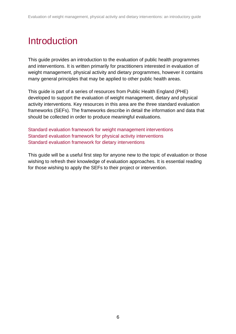# <span id="page-5-0"></span>**Introduction**

This guide provides an introduction to the evaluation of public health programmes and interventions. It is written primarily for practitioners interested in evaluation of weight management, physical activity and dietary programmes, however it contains many general principles that may be applied to other public health areas.

This guide is part of a series of resources from Public Health England (PHE) developed to support the evaluation of weight management, dietary and physical activity interventions. Key resources in this area are the three standard evaluation frameworks (SEFs). The frameworks describe in detail the information and data that should be collected in order to produce meaningful evaluations.

[Standard evaluation framework for weight management interventions](http://www.noo.org.uk/core/frameworks/SEF) [Standard evaluation framework for physical activity interventions](http://www.noo.org.uk/core/frameworks/SEF_PA) [Standard evaluation framework for dietary interventions](http://www.noo.org.uk/core/frameworks/SEF_Diet)

This guide will be a useful first step for anyone new to the topic of evaluation or those wishing to refresh their knowledge of evaluation approaches. It is essential reading for those wishing to apply the SEFs to their project or intervention.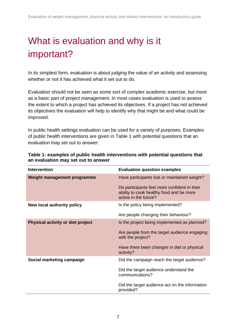# <span id="page-6-0"></span>What is evaluation and why is it important?

In its simplest form, evaluation is about judging the value of an activity and assessing whether or not it has achieved what it set out to do.

Evaluation should not be seen as some sort of complex academic exercise, but more as a basic part of project management. In most cases evaluation is used to assess the extent to which a project has achieved its objectives. If a project has not achieved its objectives the evaluation will help to identify why that might be and what could be improved.

In public health settings evaluation can be used for a variety of purposes. Examples of public health interventions are given in Table 1 with potential questions that an evaluation may set out to answer:

| <b>Intervention</b>               | <b>Evaluation question examples</b>                                                                               |
|-----------------------------------|-------------------------------------------------------------------------------------------------------------------|
| Weight management programme       | Have participants lost or maintained weight?                                                                      |
|                                   | Do participants feel more confident in their<br>ability to cook healthy food and be more<br>active in the future? |
| New local authority policy        | Is the policy being implemented?                                                                                  |
|                                   | Are people changing their behaviour?                                                                              |
| Physical activity or diet project | Is the project being implemented as planned?                                                                      |
|                                   | Are people from the target audience engaging<br>with the project?                                                 |
|                                   | Have there been changes in diet or physical<br>activity?                                                          |
| Social marketing campaign         | Did the campaign reach the target audience?                                                                       |
|                                   | Did the target audience understand the<br>communications?                                                         |
|                                   | Did the target audience act on the information<br>provided?                                                       |

#### **Table 1: examples of public health interventions with potential questions that an evaluation may set out to answer**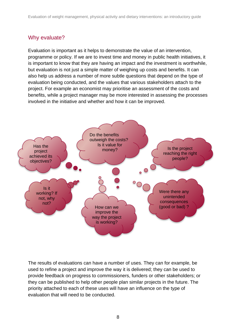### Why evaluate?

Evaluation is important as it helps to demonstrate the value of an intervention, programme or policy. If we are to invest time and money in public health initiatives, it is important to know that they are having an impact and the investment is worthwhile, but evaluation is not just a simple matter of weighing up costs and benefits. It can also help us address a number of more subtle questions that depend on the type of evaluation being conducted, and the values that various stakeholders attach to the project. For example an economist may prioritise an assessment of the costs and benefits, while a project manager may be more interested in assessing the processes involved in the initiative and whether and how it can be improved.



The results of evaluations can have a number of uses. They can for example, be used to refine a project and improve the way it is delivered; they can be used to provide feedback on progress to commissioners, funders or other stakeholders; or they can be published to help other people plan similar projects in the future. The priority attached to each of these uses will have an influence on the type of evaluation that will need to be conducted.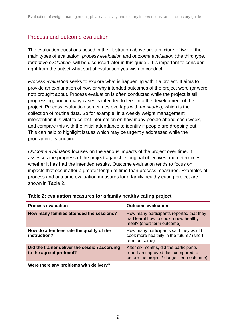### Process and outcome evaluation

The evaluation questions posed in the illustration above are a mixture of two of the main types of evaluation: *process evaluation* and *outcome evaluation* (the third type, *formative evaluation,* will be discussed later in this guide). It is important to consider right from the outset what sort of evaluation you wish to conduct.

*Process evaluation* seeks to explore what is happening within a project. It aims to provide an explanation of how or why intended outcomes of the project were (or were not) brought about. Process evaluation is often conducted while the project is still progressing, and in many cases is intended to feed into the development of the project. Process evaluation sometimes overlaps with *monitoring,* which is the collection of routine data. So for example, in a weekly weight management intervention it is vital to collect information on how many people attend each week, and compare this with the initial attendance to identify if people are dropping out. This can help to highlight issues which may be urgently addressed while the programme is ongoing.

*Outcome evaluation* focuses on the various impacts of the project over time. It assesses the progress of the project against its original objectives and determines whether it has had the intended results. Outcome evaluation tends to focus on impacts that occur after a greater length of time than process measures. Examples of process and outcome evaluation measures for a family healthy eating project are shown in Table 2.

| <b>Process evaluation</b>                                                | <b>Outcome evaluation</b>                                                                                                   |
|--------------------------------------------------------------------------|-----------------------------------------------------------------------------------------------------------------------------|
| How many families attended the sessions?                                 | How many participants reported that they<br>had learnt how to cook a new healthy<br>meal? (short-term outcome)              |
| How do attendees rate the quality of the<br>instruction?                 | How many participants said they would<br>cook more healthily in the future? (short-<br>term outcome)                        |
| Did the trainer deliver the session according<br>to the agreed protocol? | After six months, did the participants<br>report an improved diet, compared to<br>before the project? (longer-term outcome) |
| Were there any problems with delivery?                                   |                                                                                                                             |

#### **Table 2: evaluation measures for a family healthy eating project**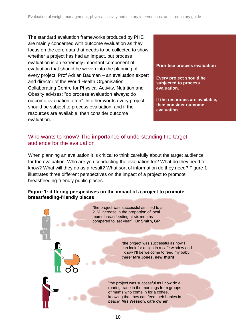The standard evaluation frameworks produced by PHE are mainly concerned with outcome evaluation as they focus on the core data that needs to be collected to show whether a project has had an impact, but process evaluation is an extremely important component of evaluation that should be woven into the planning of every project. Prof Adrian Bauman – an evaluation expert and director of the World Health Organisation Collaborating Centre for Physical Activity, Nutrition and Obesity advises: "do process evaluation always; do outcome evaluation often". In other words every project should be subject to process evaluation, and if the resources are available, then consider outcome evaluation.

**Prioritise process evaluation**

**Every project should be subjected to process evaluation.**

**If the resources are available, then consider outcome evaluation**

### Who wants to know? The importance of understanding the target audience for the evaluation

When planning an evaluation it is critical to think carefully about the target audience for the evaluation. Who are you conducting the evaluation for? What do they need to know? What will they do as a result? What sort of information do they need? Figure 1 illustrates three different perspectives on the impact of a project to promote breastfeeding-friendly public places.

#### **Figure 1: differing perspectives on the impact of a project to promote breastfeeding-friendly places**

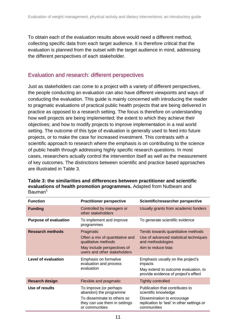To obtain each of the evaluation results above would need a different method, collecting specific data from each target audience. It is therefore critical that the evaluation is planned from the outset with the target audience in mind, addressing the different perspectives of each stakeholder.

### Evaluation and research: different perspectives

Just as stakeholders can come to a project with a variety of different perspectives, the people conducting an evaluation can also have different viewpoints and ways of conducting the evaluation. This guide is mainly concerned with introducing the reader to pragmatic evaluations of practical public health projects that are being delivered in practice as opposed to a research setting. The focus is therefore on understanding how well projects are being implemented; the extent to which they achieve their objectives; and how to modify projects to improve implementation in a real world setting. The outcome of this type of evaluation is generally used to feed into future projects, or to make the case for increased investment. This contrasts with a scientific approach to research where the emphasis is on contributing to the science of public health through addressing highly specific research questions. In most cases, researchers actually control the intervention itself as well as the measurement of key outcomes. The distinctions between scientific and practice based approaches are illustrated in Table 3.

| <b>Function</b>              | <b>Practitioner perspective</b>                                                                                                    | Scientific/researcher perspective                                                                                                                  |  |
|------------------------------|------------------------------------------------------------------------------------------------------------------------------------|----------------------------------------------------------------------------------------------------------------------------------------------------|--|
| <b>Funding</b>               | Usually grants from academic funders<br>Controlled by managers or<br>other stakeholders                                            |                                                                                                                                                    |  |
| <b>Purpose of evaluation</b> | To implement and improve<br>programmes                                                                                             | To generate scientific evidence                                                                                                                    |  |
| <b>Research methods</b>      | Pragmatic<br>Often a mix of quantitative and<br>qualitative methods<br>May include perspectives of<br>users and other stakeholders | Tends towards quantitative methods<br>Use of advanced statistical techniques<br>and methodologies<br>Aim to reduce bias                            |  |
| <b>Level of evaluation</b>   | Emphasis on formative<br>evaluation and process<br>evaluation                                                                      | Emphasis usually on the project's<br>impacts<br>May extend to outcome evaluation, to<br>provide evidence of project's effect                       |  |
| <b>Resarch design</b>        | Flexible and pragmatic                                                                                                             | <b>Tightly controlled</b>                                                                                                                          |  |
| Use of results               | To improve (or perhaps<br>abandon) the programme<br>To disseminate to others so<br>they can use them in settings<br>or communities | Publication that contributes to<br>scientific knowledge<br>Dissemination to encourage<br>replication to 'test' in other settings or<br>communities |  |

**Table 3: the similarities and differences between practitioner and scientific evaluations of health promotion programmes.** Adapted from Nutbeam and  $B$ auman<sup>1</sup>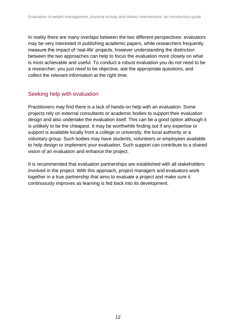In reality there are many overlaps between the two different perspectives: evaluators may be very interested in publishing academic papers, while researchers frequently measure the impact of 'real-life' projects, however understanding the distinction between the two approaches can help to focus the evaluation more closely on what is most achievable and useful. To conduct a robust evaluation you do not need to be a researcher; you just need to be objective, ask the appropriate questions, and collect the relevant information at the right time.

### Seeking help with evaluation

Practitioners may find there is a lack of hands-on help with an evaluation. Some projects rely on external consultants or academic bodies to support their evaluation design and also undertake the evaluation itself. This can be a good option although it is unlikely to be the cheapest. It may be worthwhile finding out if any expertise or support is available locally from a college or university, the local authority or a voluntary group. Such bodies may have students, volunteers or employees available to help design or implement your evaluation. Such support can contribute to a shared vision of an evaluation and enhance the project.

It is recommended that evaluation partnerships are established with all stakeholders involved in the project. With this approach, project managers and evaluators work together in a true partnership that aims to evaluate a project and make sure it continuously improves as learning is fed back into its development.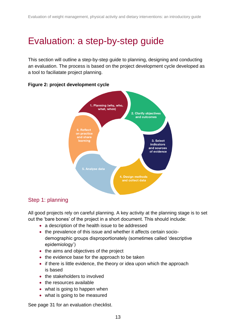# <span id="page-12-0"></span>Evaluation: a step-by-step guide

This section will outline a step-by-step guide to planning, designing and conducting an evaluation. The process is based on the project development cycle developed as a tool to faciliatate project planning.



#### **Figure 2: project development cycle**

### Step 1: planning

All good projects rely on careful planning. A key activity at the planning stage is to set out the 'bare bones' of the project in a short document. This should include:

- a description of the health issue to be addressed
- the prevalence of this issue and whether it affects certain sociodemographic groups disproportionately (sometimes called 'descriptive epidemiology')
- the aims and objectives of the project
- the evidence base for the approach to be taken
- if there is little evidence, the theory or idea upon which the approach is based
- the stakeholders to involved
- the resources available
- what is going to happen when
- what is going to be measured

See page 31 for an evaluation checklist.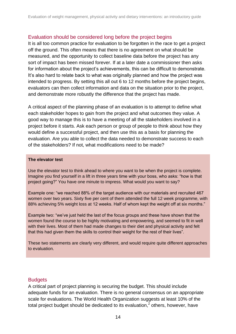#### Evaluation should be considered long before the project begins

It is all too common practice for evaluation to be forgotten in the race to get a project off the ground. This often means that there is no agreement on what should be measured, and the opportunity to collect baseline data before the project has any sort of impact has been missed forever. If at a later date a commissioner then asks for information about the project's achievements, this can be difficult to demonstrate. It's also hard to relate back to what was originally planned and how the project was intended to progress. By setting this all out 6 to 12 months before the project begins, evaluators can then collect information and data on the situation prior to the project, and demonstrate more robustly the difference that the project has made.

A critical aspect of the planning phase of an evaluation is to attempt to define what each stakeholder hopes to gain from the project and what outcomes they value. A good way to manage this is to have a meeting of all the stakeholders involved in a project before it starts. Ask each person or group of people to think about how they would define a successful project, and then use this as a basis for planning the evaluation. Are you able to collect the data needed to demonstrate success to each of the stakeholders? If not, what modifications need to be made?

#### **The elevator test**

Use the elevator test to think ahead to where you want to be when the project is complete. Imagine you find yourself in a lift in three years time with your boss, who asks: "how is that project going?" You have one minute to impress. What would you want to say?

Example one: "we reached 88% of the target audience with our materials and recruited 467 women over two years. Sixty five per cent of them attended the full 12 week programme, with 88% achieving 5% weight loss at 12 weeks. Half of whom kept the weight off at six months."

Example two: "we've just held the last of the focus groups and these have shown that the women found the course to be highly motivating and empowering, and seemed to fit in well with their lives. Most of them had made changes to their diet and physical activity and felt that this had given them the skills to control their weight for the rest of their lives".

These two statements are clearly very different, and would require quite different approaches to evaluation.

#### **Budgets**

A critical part of project planning is securing the budget. This should include adequate funds for an evaluation. There is no general consensus on an appropriate scale for evaluations. The World Health Organization suggests at least 10% of the total project budget should be dedicated to its evaluation,<sup>2</sup> others, however, have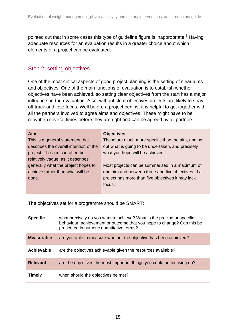pointed out that in some cases this type of guideline figure is inappropriate. $3$  Having adequate resources for an evaluation results in a greater choice about which elements of a project can be evaluated.

### Step 2: setting objectives

One of the most critical aspects of good project planning is the setting of clear aims and objectives. One of the main functions of evaluation is to establish whether objectives have been achieved, so setting clear objectives from the start has a major influence on the evaluation. Also, without clear objectives projects are likely to stray off track and lose focus. Well before a project begins, it is helpful to get together with all the partners involved to agree aims and objectives. These might have to be re-written several times before they are right and can be agreed by all partners.

| <b>Aim</b>                             | <b>Objectives</b>                                   |
|----------------------------------------|-----------------------------------------------------|
| This is a general statement that       | These are much more specific than the aim, and set  |
| describes the overall intention of the | out what is going to be undertaken, and precisely   |
| project. The aim can often be          | what you hope will be achieved.                     |
| relatively vague, as it describes      |                                                     |
| generally what the project hopes to    | Most projects can be summarised in a maximum of     |
| achieve rather than what will be       | one aim and between three and five objectives. If a |
| done.                                  | project has more than five objectives it may lack   |
|                                        | focus.                                              |
|                                        |                                                     |

The objectives set for a programme should be SMART:

| <b>Specific</b>   | what precisely do you want to achieve? What is the precise or specific<br>behaviour, achievement or outcome that you hope to change? Can this be<br>presented in numeric quantitative terms? |
|-------------------|----------------------------------------------------------------------------------------------------------------------------------------------------------------------------------------------|
| <b>Measurable</b> | are you able to measure whether the objective has been achieved?                                                                                                                             |
| Achievable        | are the objectives achievable given the resources available?                                                                                                                                 |
| <b>Relevant</b>   | are the objectives the most important things you could be focusing on?                                                                                                                       |
| <b>Timely</b>     | when should the objectives be met?                                                                                                                                                           |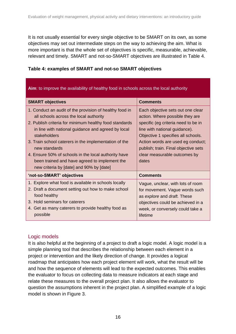It is not usually essential for every single objective to be SMART on its own, as some objectives may set out intermediate steps on the way to achieving the aim. What is more important is that the whole set of objectives is specific, measurable, achievable, relevant and timely. SMART and not-so-SMART objectives are illustrated in Table 4.

| Table 4: examples of SMART and not-so SMART objectives |  |  |  |
|--------------------------------------------------------|--|--|--|
|--------------------------------------------------------|--|--|--|

| Aim: to improve the availability of healthy food in schools across the local authority                                                                                                                                                                                                                                                                                                                                                                           |                                                                                                                                                                                                                                                                                                          |  |  |  |
|------------------------------------------------------------------------------------------------------------------------------------------------------------------------------------------------------------------------------------------------------------------------------------------------------------------------------------------------------------------------------------------------------------------------------------------------------------------|----------------------------------------------------------------------------------------------------------------------------------------------------------------------------------------------------------------------------------------------------------------------------------------------------------|--|--|--|
| <b>SMART objectives</b>                                                                                                                                                                                                                                                                                                                                                                                                                                          | <b>Comments</b>                                                                                                                                                                                                                                                                                          |  |  |  |
| 1. Conduct an audit of the provision of healthy food in<br>all schools across the local authority<br>2. Publish criteria for minimum healthy food standards<br>in line with national guidance and agreed by local<br>stakeholders<br>3. Train school caterers in the implementation of the<br>new standards<br>4. Ensure 50% of schools in the local authority have<br>been trained and have agreed to implement the<br>new criteria by [date] and 90% by [date] | Each objective sets out one clear<br>action. Where possible they are<br>specific (eg criteria need to be in<br>line with national guidance).<br>Objective 1 specifies all schools.<br>Action words are used eg conduct;<br>publish; train. Final objective sets<br>clear measurable outcomes by<br>dates |  |  |  |
| 'not-so-SMART' objectives                                                                                                                                                                                                                                                                                                                                                                                                                                        | <b>Comments</b>                                                                                                                                                                                                                                                                                          |  |  |  |
| 1. Explore what food is available in schools locally<br>2. Draft a document setting out how to make school<br>food healthy<br>3. Hold seminars for caterers<br>4. Get as many caterers to provide healthy food as<br>possible                                                                                                                                                                                                                                    | Vague, unclear, with lots of room<br>for movement. Vague words such<br>as explore and draft. These<br>objectives could be achieved in a<br>week, or conversely could take a<br>lifetime                                                                                                                  |  |  |  |

#### Logic models

It is also helpful at the beginning of a project to draft a logic model. A logic model is a simple planning tool that describes the relationship between each element in a project or intervention and the likely direction of change. It provides a logical roadmap that anticipates how each project element will work, what the result will be and how the sequence of elements will lead to the expected outcomes. This enables the evaluator to focus on collecting data to measure indicators at each stage and relate these measures to the overall project plan. It also allows the evaluator to question the assumptions inherent in the project plan. A simplified example of a logic model is shown in Figure 3.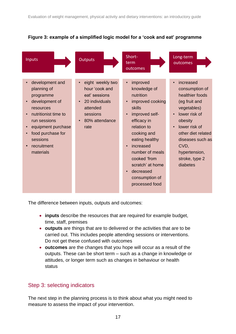



The difference between inputs, outputs and outcomes:

- **inputs** describe the resources that are required for example budget, time, staff, premises
- **outputs** are things that are to delivered or the activities that are to be carried out. This includes people attending sessions or interventions. Do not get these confused with outcomes
- **outcomes** are the changes that you hope will occur as a result of the outputs. These can be short term – such as a change in knowledge or attitudes, or longer term such as changes in behaviour or health status

### Step 3: selecting indicators

The next step in the planning process is to think about what you might need to measure to assess the impact of your intervention.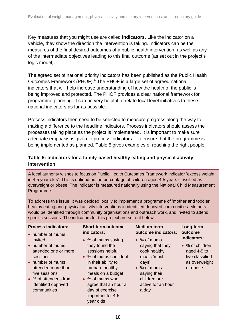Key measures that you might use are called **indicators.** Like the indicator on a vehicle, they show the direction the intervention is taking. Indicators can be the measures of the final desired outcomes of a public health intervention, as well as any of the intermediate objectives leading to this final outcome (as set out in the project's logic model).

The agreed set of national priority indicators has been published as the Public Health Outcomes Framework (PHOF).<sup>4</sup> The PHOF is a large set of agreed national indicators that will help increase understanding of how the health of the public is being improved and protected. The PHOF provides a clear national framework for programme planning. It can be very helpful to relate local level initiatives to these national indicators as far as possible.

Process indicators then need to be selected to measure progress along the way to making a difference to the headline indicators. Process indicators should assess the processes taking place as the project is implemented. It is important to make sure adequate emphasis is given to process indicators – to ensure that the programme is being implemented as planned. Table 5 gives examples of reaching the right people.

#### **Table 5: indicators for a family-based healthy eating and physical activity intervention**

A local authority wishes to focus on Public Health Outcomes Framework indicator 'excess weight in 4-5 year olds'. This is defined as the percentage of children aged 4-5 years classified as overweight or obese. The indicator is measured nationally using the National Child Measurement Programme.

To address this issue, it was decided locally to implement a programme of 'mother and toddler' healthy eating and physical activity interventions in identified deprived communities. Mothers would be identified through community organisations and outreach work, and invited to attend specific sessions. The indicators for this project are set out below:

| would be identified through community organisations and outreach work, and invited to a<br>specific sessions. The indicators for this project are set out below: |                                          |                                           |                     |
|------------------------------------------------------------------------------------------------------------------------------------------------------------------|------------------------------------------|-------------------------------------------|---------------------|
| <b>Process indicators:</b><br>• number of mums                                                                                                                   | <b>Short-term outcome</b><br>indicators: | <b>Medium-term</b><br>outcome indicators: | Long-ter<br>outcome |
| invited                                                                                                                                                          | • % of mums saying                       | • % of mums                               | indicato            |

- number of mums attended one or more sessions
- number of mums attended more than five sessions
- % of attendees from identified deprived communities

## they found the sessions helpful

- % of mums confident in their ability to prepare healthy meals on a budget
- % of mums who agree that an hour a day of exercise important for 4-5 year olds
- saying that they cook healthy meals 'most days'
- % of mums saying their children are active for an hour a day

#### **Long-term outcome indicators:**

• % of children aged 4-5 to five classified as overweight or obese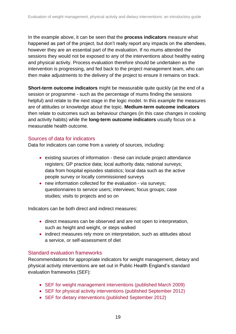In the example above, it can be seen that the **process indicators** measure what happened as part of the project, but don't really report any impacts on the attendees, however they are an essential part of the evaluation. If no mums attended the sessions they would not be exposed to any of the interventions about healthy eating and physical activity. Process evaluation therefore should be undertaken as the intervention is progressing, and fed back to the project management team, who can then make adjustments to the delivery of the project to ensure it remains on track.

**Short-term outcome indicators** might be measurable quite quickly (at the end of a session or programme - such as the percentage of mums finding the sessions helpful) and relate to the next stage in the logic model. In this example the measures are of attitudes or knowledge about the topic. **Medium-term outcome indicators**  then relate to outcomes such as behaviour changes (in this case changes in cooking and activity habits) while the **long-term outcome indicators** usually focus on a measurable health outcome.

#### Sources of data for indicators

Data for indicators can come from a variety of sources, including:

- existing sources of information these can include project attendance registers; GP practice data; local authority data; national surveys; data from hospital episodes statistics; local data such as the active people survey or locally commissioned surveys
- new information collected for the evaluation via surveys; questionnaires to service users; interviews; focus groups; case studies; visits to projects and so on

Indicators can be both direct and indirect measures:

- direct measures can be observed and are not open to interpretation, such as height and weight, or steps walked
- indirect measures rely more on interpretation, such as attitudes about a service, or self-assessment of diet

#### Standard evaluation frameworks

Recommendations for appropriate indicators for weight management, dietary and physical activity interventions are set out in Public Health England's standard evaluation frameworks (SEF):

- [SEF for weight management interventions \(published March 2009\)](http://www.noo.org.uk/core/frameworks/SEF)
- [SEF for physical activity interventions \(published September 2012\)](http://www.noo.org.uk/core/frameworks/SEF_PA)
- [SEF for dietary interventions \(published September 2012\)](http://www.noo.org.uk/core/frameworks/SEF_Diet)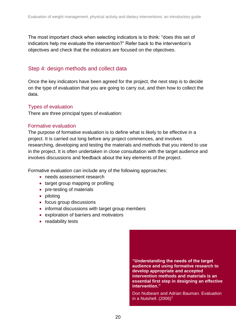The most important check when selecting indicators is to think: "does this set of indicators help me evaluate the intervention?" Refer back to the intervention's objectives and check that the indicators are focused on the objectives.

### Step 4: design methods and collect data

Once the key indicators have been agreed for the project, the next step is to decide on the type of evaluation that you are going to carry out, and then how to collect the data.

#### Types of evaluation

There are three principal types of evaluation:

#### Formative evaluation

The purpose of formative evaluation is to define what is likely to be effective in a project. It is carried out long before any project commences, and involves researching, developing and testing the materials and methods that you intend to use in the project. It is often undertaken in close consultation with the target audience and involves discussions and feedback about the key elements of the project.

Formative evaluation can include any of the following approaches:

- needs assessment research
- target group mapping or profiling
- pre-testing of materials
- piloting
- focus group discussions
- informal discussions with target group members
- exploration of barriers and motivators
- readability tests

**"Understanding the needs of the target audience and using formative research to develop appropriate and accepted intervention methods and materials is an essential first step in designing an effective intervention."**

Don Nutbeam and Adrian Bauman. Evaluation in a Nutshell.  $(2006)^1$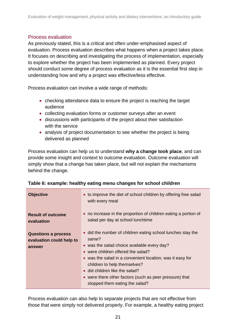#### Process evaluation

As previously stated, this is a critical and often under-emphasised aspect of evaluation. Process evaluation describes what happens when a project takes place. It focuses on describing and investigating the process of implementation, especially to explore whether the project has been implemented as planned. Every project should conduct some degree of process evaluation as it is the essential first step in understanding how and why a project was effective/less effective.

Process evaluation can involve a wide range of methods:

- checking attendance data to ensure the project is reaching the target audience
- collecting evaluation forms or customer surveys after an event
- discussions with participants of the project about their satisfaction with the service
- analysis of project documentation to see whether the project is being delivered as planned

Process evaluation can help us to understand **why a change took place**, and can provide some insight and context to outcome evaluation. Outcome evaluation will simply show that a change has taken place, but will not explain the mechanisms behind the change.

| <b>Objective</b>                                                 | • to improve the diet of school children by offering free salad<br>with every meal                                                                                                                                                                                                                                                                                                            |
|------------------------------------------------------------------|-----------------------------------------------------------------------------------------------------------------------------------------------------------------------------------------------------------------------------------------------------------------------------------------------------------------------------------------------------------------------------------------------|
| <b>Result of outcome</b><br>evaluation                           | • no increase in the proportion of children eating a portion of<br>salad per day at school lunchtime                                                                                                                                                                                                                                                                                          |
| <b>Questions a process</b><br>evaluation could help to<br>answer | • did the number of children eating school lunches stay the<br>same?<br>• was the salad choice available every day?<br>• were children offered the salad?<br>• was the salad in a convenient location, was it easy for<br>children to help themselves?<br>$\bullet$ did children like the salad?<br>• were there other factors (such as peer pressure) that<br>stopped them eating the salad? |

|  |  | Table 6: example: healthy eating menu changes for school children |
|--|--|-------------------------------------------------------------------|
|  |  |                                                                   |

Process evaluation can also help to separate projects that are not effective from those that were simply not delivered properly. For example, a healthy eating project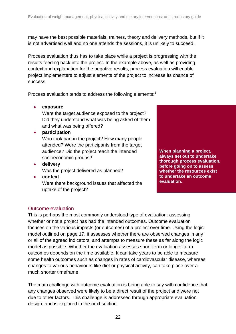may have the best possible materials, trainers, theory and delivery methods, but if it is not advertised well and no one attends the sessions, it is unlikely to succeed.

Process evaluation thus has to take place while a project is progressing with the results feeding back into the project. In the example above, as well as providing context and explanation for the negative results, process evaluation will enable project implementers to adjust elements of the project to increase its chance of success.

Process evaluation tends to address the following elements:<sup>1</sup>

#### **exposure**

Were the target audience exposed to the project? Did they understand what was being asked of them and what was being offered?

#### **participation**

Who took part in the project? How many people attended? Were the participants from the target audience? Did the project reach the intended socioeconomic groups?

**delivery**

Was the project delivered as planned?

**context**

Were there background issues that affected the uptake of the project?



**whether the resources exist to undertake an outcome evaluation.**

#### Outcome evaluation

This is perhaps the most commonly understood type of evaluation: assessing whether or not a project has had the intended outcomes. Outcome evaluation focuses on the various impacts (or outcomes) of a project over time. Using the logic model outlined on page 17, it assesses whether there are observed changes in any or all of the agreed indicators, and attempts to measure these as far along the logic model as possible. Whether the evaluation assesses short-term or longer-term outcomes depends on the time available. It can take years to be able to measure some health outcomes such as changes in rates of cardiovascular disease, whereas changes to various behaviours like diet or physical activity, can take place over a much shorter timeframe.

The main challenge with outcome evaluation is being able to say with confidence that any changes observed were likely to be a direct result of the project and were not due to other factors. This challenge is addressed through appropriate evaluation design, and is explored in the next section.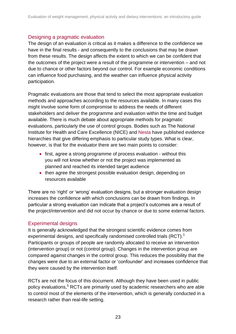#### Designing a pragmatic evaluation

The design of an evaluation is critical as it makes a difference to the confidence we have in the final results - and consequently to the conclusions that may be drawn from these results. The design affects the extent to which we can be confident that the outcomes of the project were a result of the programme or intervention – and not due to chance or other factors beyond our control. For example economic conditions can influence food purchasing, and the weather can influence physical activity participation.

Pragmatic evaluations are those that tend to select the most appropriate evaluation methods and approaches according to the resources available. In many cases this might involve some form of compromise to address the needs of different stakeholders and deliver the programme and evaluation within the time and budget available. There is much debate about appropriate methods for pragmatic evaluations, particularly the use of control groups. Bodies such as The National Institute for Health and Care Excellence (NICE) and [Nesta](http://www.nesta.org.uk/) have published evidence hierarchies that give differing emphasis to particular study types. What is clear, however, is that for the evaluator there are two main points to consider:

- first, agree a strong programme of process evaluation without this you will not know whether or not the project was implemented as planned and reached its intended target audience
- then agree the strongest possible evaluation design, depending on resources available

There are no 'right' or 'wrong' evaluation designs, but a stronger evaluation design increases the confidence with which conclusions can be drawn from findings. In particular a strong evaluation can indicate that a project's outcomes are a result of the project/intervention and did not occur by chance or due to some external factors.

#### Experimental designs

It is generally acknowledged that the strongest scientific evidence comes from experimental designs, and specifically randomised controlled trials (RCT).<sup>1</sup> Participants or groups of people are randomly allocated to receive an intervention (intervention group) or not (control group). Changes in the intervention group are compared against changes in the control group. This reduces the possibility that the changes were due to an external factor or 'confounder' and increases confidence that they were caused by the intervention itself.

RCTs are not the focus of this document. Although they have been used in public policy evaluations,<sup>5</sup> RCTs are primarily used by academic researchers who are able to control most of the elements of the intervention, which is generally conducted in a research rather than real-life setting.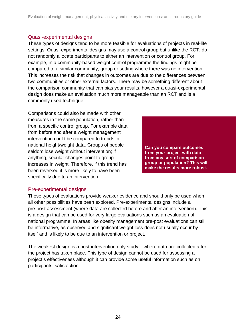#### Quasi-experimental designs

These types of designs tend to be more feasible for evaluations of projects in real-life settings. Quasi-experimental designs may use a control group but unlike the RCT, do not randomly allocate participants to either an intervention or control group. For example, in a community-based weight control programme the findings might be compared to a similar community, group or setting where there was no intervention. This increases the risk that changes in outcomes are due to the differences between two communities or other external factors. There may be something different about the comparison community that can bias your results, however a quasi-experimental design does make an evaluation much more manageable than an RCT and is a commonly used technique.

Comparisons could also be made with other measures in the same population, rather than from a specific control group. For example data from before and after a weight management intervention could be compared to trends in national height/weight data. Groups of people seldom lose weight without intervention; if anything, secular changes point to group increases in weight. Therefore, if this trend has been reversed it is more likely to have been specifically due to an intervention.

**Can you compare outcomes from your project with data from any sort of comparison group or population? This will make the results more robust.**

#### Pre-experimental designs

These types of evaluations provide weaker evidence and should only be used when all other possibilities have been explored. Pre-experimental designs include a pre-post assessment (where data are collected before and after an intervention). This is a design that can be used for very large evaluations such as an evaluation of national programme. In areas like obesity management pre-post evaluations can still be informative, as observed and significant weight loss does not usually occur by itself and is likely to be due to an intervention or project.

The weakest design is a post-intervention only study – where data are collected after the project has taken place. This type of design cannot be used for assessing a project's effectiveness although it can provide some useful information such as on participants' satisfaction.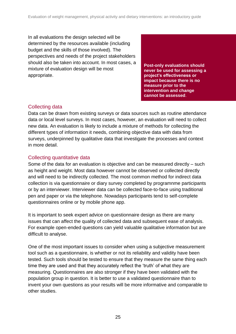In all evaluations the design selected will be determined by the resources available (including budget and the skills of those involved). The perspectives and needs of the project stakeholders should also be taken into account. In most cases, a mixture of evaluation design will be most appropriate.

**Post-only evaluations should never be used for assessing a project's effectiveness or impact because there is no measure prior to the intervention and change cannot be assessed**.

### Collecting data

Data can be drawn from existing surveys or data sources such as routine attendance data or local level surveys. In most cases, however, an evaluation will need to collect new data. An evaluation is likely to include a mixture of methods for collecting the different types of information it needs, combining objective data with data from surveys, underpinned by qualitative data that investigate the processes and context in more detail.

### Collecting quantitative data

Some of the data for an evaluation is objective and can be measured directly – such as height and weight. Most data however cannot be observed or collected directly and will need to be indirectly collected. The most common method for indirect data collection is via questionnaire or diary survey completed by programnme participants or by an interviewer. Interviewer data can be collected face-to-face using traditional pen and paper or via the telephone. Nowadays participants tend to self-complete questionnaires online or by mobile phone app.

It is important to seek expert advice on questionnaire design as there are many issues that can affect the quality of collected data and subsequent ease of analysis. For example open-ended questions can yield valuable qualitative information but are difficult to analyse.

One of the most important issues to consider when using a subjective measurement tool such as a questionnaire, is whether or not its reliability and validity have been tested. Such tools should be tested to ensure that they measure the same thing each time they are used and that they accurately reflect the 'truth' of what they are measuring. Questionnaires are also stronger if they have been validated with the population group in question. It is better to use a validated questionnaire than to invent your own questions as your results will be more informative and comparable to other studies.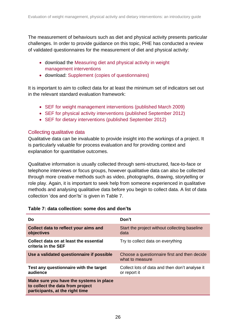The measurement of behaviours such as diet and physical activity presents particular challenges. In order to provide guidance on this topic, PHE has conducted a review of validated questionnaires for the measurement of diet and physical activity:

- download the [Measuring diet and physical activity in weight](http://www.noo.org.uk/uploads/doc/vid_10414_Assessment%20Tools%20160311%20FINAL%20MG.pdf)  [management interventions](http://www.noo.org.uk/uploads/doc/vid_10414_Assessment%20Tools%20160311%20FINAL%20MG.pdf)
- download: [Supplement \(copies of questionnaires\)](http://www.noo.org.uk/gsf.php5?f=9916&fv=10415)

It is important to aim to collect data for at least the minimum set of indicators set out in the relevant standard evaluation framework:

- [SEF for weight management interventions \(published March 2009\)](http://www.noo.org.uk/core/frameworks/SEF)
- [SEF for physical activity interventions \(published September 2012\)](http://www.noo.org.uk/core/frameworks/SEF_PA)
- [SEF for dietary interventions \(published September 2012\)](http://www.noo.org.uk/core/frameworks/SEF_Diet)

#### Collecting qualitative data

Qualitative data can be invaluable to provide insight into the workings of a project. It is particularly valuable for process evaluation and for providing context and explanation for quantitative outcomes.

Qualitative information is usually collected through semi-structured, face-to-face or telephone interviews or focus groups, however qualitative data can also be collected through more creative methods such as video, photographs, drawing, storytelling or role play. Again, it is important to seek help from someone experienced in qualitative methods and analysing qualitative data before you begin to collect data. A list of data collection 'dos and don'ts' is given in Table 7.

| Do                                                                                                             | Don't                                                           |
|----------------------------------------------------------------------------------------------------------------|-----------------------------------------------------------------|
| Collect data to reflect your aims and<br>objectives                                                            | Start the project without collecting baseline<br>data           |
| Collect data on at least the essential<br>criteria in the SEF                                                  | Try to collect data on everything                               |
| Use a validated questionnaire if possible                                                                      | Choose a questionnaire first and then decide<br>what to measure |
| Test any questionnaire with the target<br>audience                                                             | Collect lots of data and then don't analyse it<br>or report it  |
| Make sure you have the systems in place<br>to collect the data from project<br>participants, at the right time |                                                                 |

#### **Table 7: data collection: some dos and don'ts**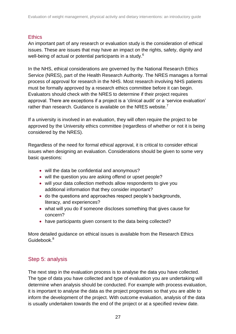#### **Ethics**

An important part of any research or evaluation study is the consideration of ethical issues. These are issues that may have an impact on the rights, safety, dignity and well-being of actual or potential participants in a study.<sup>6</sup>

In the NHS, ethical considerations are governed by the National Research Ethics Service (NRES), part of the Health Research Authority. The NRES manages a formal process of approval for research in the NHS. Most research involving NHS patients must be formally approved by a research ethics committee before it can begin. Evaluators should check with the NRES to determine if their project requires approval. There are exceptions if a project is a 'clinical audit' or a 'service evaluation' rather than research. Guidance is available on the NRES website.<sup>7</sup>

If a university is involved in an evaluation, they will often require the project to be approved by the University ethics committee (regardless of whether or not it is being considered by the NRES).

Regardless of the need for formal ethical approval, it is critical to consider ethical issues when designing an evaluation. Considerations should be given to some very basic questions:

- will the data be confidential and anonymous?
- will the question you are asking offend or upset people?
- will your data collection methods allow respondents to give you additional information that they consider important?
- do the questions and approaches respect people's backgrounds, literacy, and experiences?
- what will you do if someone discloses something that gives cause for concern?
- have participants given consent to the data being collected?

More detailed guidance on ethical issues is available from the Research Ethics Guidebook.<sup>8</sup>

### Step 5: analysis

The next step in the evaluation process is to analyse the data you have collected. The type of data you have collected and type of evaluation you are undertaking will determine when analysis should be conducted. For example with process evaluation, it is important to analyse the data as the project progresses so that you are able to inform the development of the project. With outcome evaluation, analysis of the data is usually undertaken towards the end of the project or at a specified review date.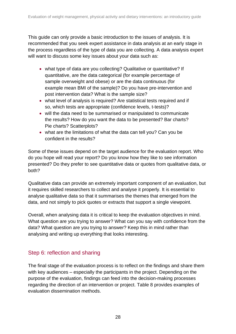This guide can only provide a basic introduction to the issues of analysis. It is recommended that you seek expert assistance in data analysis at an early stage in the process regardless of the type of data you are collecting. A data analysis expert will want to discuss some key issues about your data such as:

- what type of data are you collecting? Qualitative or quantitative? If quantitative, are the data categorical (for example percentage of sample overweight and obese) or are the data continuous (for example mean BMI of the sample)? Do you have pre-intervention and post intervention data? What is the sample size?
- what level of analysis is required? Are statistical tests required and if so, which tests are appropriate (confidence levels, t-tests)?
- will the data need to be summarised or manipulated to communicate the results? How do you want the data to be presented? Bar charts? Pie charts? Scatterplots?
- what are the limitations of what the data can tell you? Can you be confident in the results?

Some of these issues depend on the target audience for the evaluation report. Who do you hope will read your report? Do you know how they like to see information presented? Do they prefer to see quantitative data or quotes from qualitative data, or both?

Qualitative data can provide an extremely important component of an evaluation, but it requires skilled researchers to collect and analyse it properly. It is essential to analyse qualitative data so that it summarises the themes that emerged from the data, and not simply to pick quotes or extracts that support a single viewpoint.

Overall, when analysing data it is critical to keep the evaluation objectives in mind. What question are you trying to answer? What can you say with confidence from the data? What question are you trying to answer? Keep this in mind rather than analysing and writing up everything that looks interesting.

### Step 6: reflection and sharing

The final stage of the evaluation process is to reflect on the findings and share them with key audiences – especially the participants in the project. Depending on the purpose of the evaluation, findings can feed into the decision-making processes regarding the direction of an intervention or project. Table 8 provides examples of evaluation dissemination methods.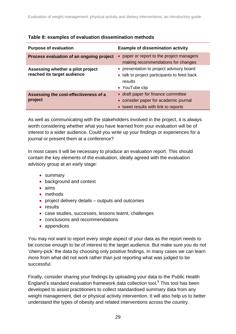| <b>Purpose of evaluation</b>                                     | <b>Example of dissemination activity</b>                                                                             |
|------------------------------------------------------------------|----------------------------------------------------------------------------------------------------------------------|
| Process evaluation of an ongoing project                         | paper or report to the project managers<br>making recommendations for changes                                        |
| Assessing whether a pilot project<br>reached its target audience | • presentation to project advisory board<br>• talk to project participants to feed back<br>results<br>• YouTube clip |
| Assessing the cost-effectiveness of a<br>project                 | • draft paper for finance committee<br>• consider paper for academic journal<br>• tweet results with link to reports |

#### **Table 8: examples of evaluation dissemination methods**

As well as communicating with the stakeholders involved in the project, it is always worth considering whether what you have learned from your evaluation will be of interest to a wider audience. Could you write up your findings or experiences for a journal or present them at a conference?

In most cases it will be necessary to produce an evaluation report. This should contain the key elements of the evaluation, ideally agreed with the evaluation advisory group at an early stage:

- summary
- background and context
- aims
- methods
- project delivery details outputs and outcomes
- results
- case studies, successes, lessons learnt, challenges
- conclusions and recommendations
- appendices

You may not want to report every single aspect of your data as the report needs to be concise enough to be of interest to the target audience. But make sure you do not 'cherry-pick' the data by choosing only positive findings. In many cases we can learn more from what did not work rather than just reporting what was judged to be successful.

Finally, consider sharing your findings by uploading your data to the Public Health England's standard evaluation framework data collection tool.<sup>9</sup> This tool has been developed to assist practitioners to collect standardised summary data from any weight management, diet or physical activity intervention. It will also help us to better understand the types of obesity and related interventions across the country.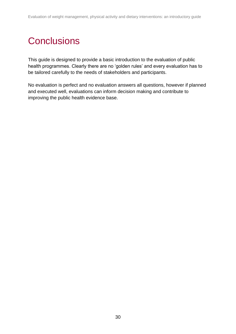# <span id="page-29-0"></span>**Conclusions**

This guide is designed to provide a basic introduction to the evaluation of public health programmes. Clearly there are no 'golden rules' and every evaluation has to be tailored carefully to the needs of stakeholders and participants.

No evaluation is perfect and no evaluation answers all questions, however if planned and executed well, evaluations can inform decision making and contribute to improving the public health evidence base.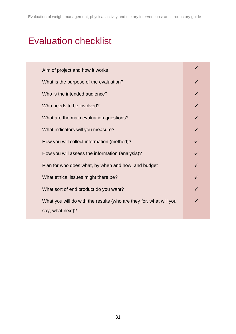# <span id="page-30-0"></span>Evaluation checklist

| Aim of project and how it works                                    |  |
|--------------------------------------------------------------------|--|
| What is the purpose of the evaluation?                             |  |
| Who is the intended audience?                                      |  |
| Who needs to be involved?                                          |  |
| What are the main evaluation questions?                            |  |
| What indicators will you measure?                                  |  |
| How you will collect information (method)?                         |  |
| How you will assess the information (analysis)?                    |  |
| Plan for who does what, by when and how, and budget                |  |
| What ethical issues might there be?                                |  |
| What sort of end product do you want?                              |  |
| What you will do with the results (who are they for, what will you |  |
| say, what next)?                                                   |  |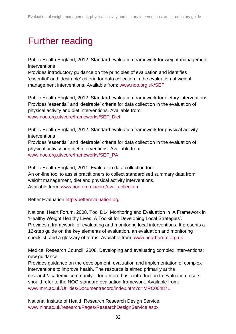# <span id="page-31-0"></span>Further reading

Public Health England, 2012. Standard evaluation framework for weight management interventions

Provides introductory guidance on the principles of evaluation and identifies 'essential' and 'desirable' criteria for data collection in the evaluation of weight management interventions. Available from: [www.noo.org.uk/SEF](file:///C:/Users/di.swanston/AppData/Local/Microsoft/Windows/Temporary%20Internet%20Files/Content.Outlook/549J3P6T/www.noo.org.uk/SEF)

Public Health England, 2012. Standard evaluation framework for dietary interventions Provides 'essential' and 'desirable' criteria for data collection in the evaluation of physical activity and diet interventions. Available from: [www.noo.org.uk/core/frameworks/SEF\\_Diet](file:///C:/Users/di.swanston/AppData/Local/Microsoft/Windows/Temporary%20Internet%20Files/Content.Outlook/549J3P6T/www.noo.org.uk/core/frameworks/SEF_Diet)

Public Health England, 2012. Standard evaluation framework for physical activity interventions Provides 'essential' and 'desirable' criteria for data collection in the evaluation of physical activity and diet interventions. Available from: [www.noo.org.uk/core/frameworks/SEF\\_PA](file:///C:/Users/di.swanston/AppData/Local/Microsoft/Windows/Temporary%20Internet%20Files/Content.Outlook/549J3P6T/www.noo.org.uk/core/frameworks/SEF_PA)

Public Health England, 2011. Evaluation data collection tool An on-line tool to assist practitioners to collect standardised summary data from weight management, diet and physical activity interventions. Available from: [www.noo.org.uk/core/eval\\_collection](file:///C:/Users/di.swanston/AppData/Local/Microsoft/Windows/Temporary%20Internet%20Files/Content.Outlook/549J3P6T/www.noo.org.uk/core/eval_collection)

Better Evaluation [http://betterevaluation.org](http://betterevaluation.org/)

National Heart Forum, 2008. Tool D14 Monitoring and Evaluation in 'A Framework in 'Healthy Weight Healthy Lives: A Toolkit for Developing Local Strategies'. Provides a framework for evaluating and monitoring local interventions. It presents a 12-step guide on the key elements of evaluation, an evaluation and monitoring checklist, and a glossary of terms. Available from: [www.heartforum.org.uk](file:///C:/Users/di.swanston/AppData/Local/Microsoft/Windows/Temporary%20Internet%20Files/Content.Outlook/549J3P6T/www.heartforum.org.uk)

Medical Research Council, 2008. Developing and evaluating complex interventions: new guidance.

Provides guidance on the development, evaluation and implementation of complex interventions to improve health. The resource is aimed primarily at the research/academic community – for a more basic introduction to evaluation, users should refer to the NOO standard evaluation framework. Available from: [www.mrc.ac.uk/Utilities/Documentrecord/index.htm?d=MRC004871](file:///C:/Users/di.swanston/AppData/Local/Microsoft/Windows/Temporary%20Internet%20Files/Content.Outlook/549J3P6T/www.mrc.ac.uk/Utilities/Documentrecord/index.htm%3fd=MRC004871)

National Insitute of Health Research Research Design Service. [www.nihr.ac.uk/research/Pages/ResearchDesignService.aspx](file:///C:/Users/di.swanston/AppData/Local/Microsoft/Windows/Temporary%20Internet%20Files/Content.Outlook/549J3P6T/www.nihr.ac.uk/research/Pages/ResearchDesignService.aspx)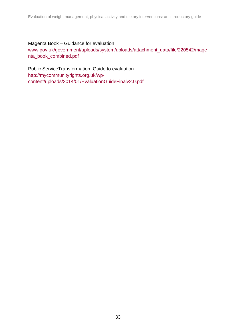#### Magenta Book – Guidance for evaluation

[www.gov.uk/government/uploads/system/uploads/attachment\\_data/file/220542/mage](file:///C:/Users/di.swanston/AppData/Local/Microsoft/Windows/Temporary%20Internet%20Files/Content.Outlook/549J3P6T/www.gov.uk/government/uploads/system/uploads/attachment_data/file/220542/magenta_book_combined.pdf) [nta\\_book\\_combined.pdf](file:///C:/Users/di.swanston/AppData/Local/Microsoft/Windows/Temporary%20Internet%20Files/Content.Outlook/549J3P6T/www.gov.uk/government/uploads/system/uploads/attachment_data/file/220542/magenta_book_combined.pdf)

Public ServiceTransformation: Guide to evaluation [http://mycommunityrights.org.uk/wp](http://mycommunityrights.org.uk/wp-content/uploads/2014/01/EvaluationGuideFinalv2.0.pdf)[content/uploads/2014/01/EvaluationGuideFinalv2.0.pdf](http://mycommunityrights.org.uk/wp-content/uploads/2014/01/EvaluationGuideFinalv2.0.pdf)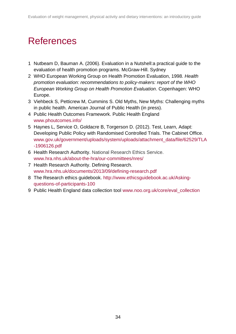# <span id="page-33-0"></span>References

- 1 Nutbeam D, Bauman A. (2006). Evaluation in a Nutshell:a practical guide to the evaluation of health promotion programs. McGraw-Hill. Sydney
- 2 WHO European Working Group on Health Promotion Evaluation, 1998. *Health promotion evaluation: recommendations to policy-makers: report of the WHO European Working Group on Health Promotion Evaluation*. Copenhagen: WHO Europe.
- 3 Viehbeck S, Petticrew M, Cummins S. Old Myths, New Myths: Challenging myths in public health. American Journal of Public Health (in press).
- 4 Public Health Outcomes Framework. Public Health England [www.phoutcomes.info/](file:///C:/Users/di.swanston/AppData/Local/Microsoft/Windows/Temporary%20Internet%20Files/Content.Outlook/549J3P6T/www.phoutcomes.info/)
- 5 Haynes L, Service O, Goldacre B, Torgerson D. (2012). Test, Learn, Adapt: Developing Public Policy with Randomised Controlled Trials. The Cabinet Office. [www.gov.uk/government/uploads/system/uploads/attachment\\_data/file/62529/TLA](file:///C:/Users/di.swanston/AppData/Local/Microsoft/Windows/Temporary%20Internet%20Files/Content.Outlook/549J3P6T/www.gov.uk/government/uploads/system/uploads/attachment_data/file/62529/TLA-1906126.pdf) [-1906126.pdf](file:///C:/Users/di.swanston/AppData/Local/Microsoft/Windows/Temporary%20Internet%20Files/Content.Outlook/549J3P6T/www.gov.uk/government/uploads/system/uploads/attachment_data/file/62529/TLA-1906126.pdf)
- 6 Health Research Authority. National Research Ethics Service. [www.hra.nhs.uk/about-the-hra/our-committees/nres/](file:///C:/Users/di.swanston/AppData/Local/Microsoft/Windows/Temporary%20Internet%20Files/Content.Outlook/549J3P6T/www.hra.nhs.uk/about-the-hra/our-committees/nres/)
- 7 Health Research Authority. Defining Research. [www.hra.nhs.uk/documents/2013/09/defining-research.pdf](file:///C:/Users/di.swanston/AppData/Local/Microsoft/Windows/Temporary%20Internet%20Files/Content.Outlook/549J3P6T/www.hra.nhs.uk/documents/2013/09/defining-research.pdf)
- 8 The Research ethics guidebook. [http://www.ethicsguidebook.ac.uk/Asking](http://www.ethicsguidebook.ac.uk/Asking-questions-of-participants-100)[questions-of-participants-100](http://www.ethicsguidebook.ac.uk/Asking-questions-of-participants-100)
- 9 Public Health England data collection tool [www.noo.org.uk/core/eval\\_collection](file:///C:/Users/di.swanston/AppData/Local/Microsoft/Windows/Temporary%20Internet%20Files/Content.Outlook/549J3P6T/www.noo.org.uk/core/eval_collection)